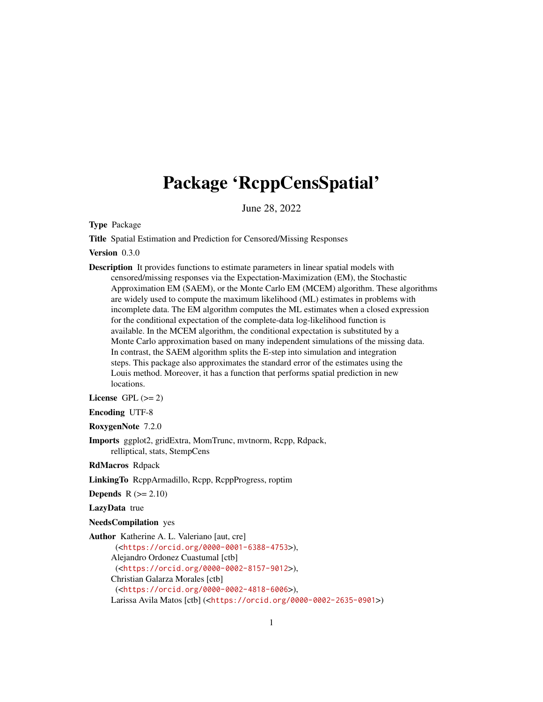# Package 'RcppCensSpatial'

June 28, 2022

Type Package

Title Spatial Estimation and Prediction for Censored/Missing Responses

Version 0.3.0

Description It provides functions to estimate parameters in linear spatial models with censored/missing responses via the Expectation-Maximization (EM), the Stochastic Approximation EM (SAEM), or the Monte Carlo EM (MCEM) algorithm. These algorithms are widely used to compute the maximum likelihood (ML) estimates in problems with incomplete data. The EM algorithm computes the ML estimates when a closed expression for the conditional expectation of the complete-data log-likelihood function is available. In the MCEM algorithm, the conditional expectation is substituted by a Monte Carlo approximation based on many independent simulations of the missing data. In contrast, the SAEM algorithm splits the E-step into simulation and integration steps. This package also approximates the standard error of the estimates using the Louis method. Moreover, it has a function that performs spatial prediction in new locations.

License GPL  $(>= 2)$ 

Encoding UTF-8

RoxygenNote 7.2.0

Imports ggplot2, gridExtra, MomTrunc, mvtnorm, Rcpp, Rdpack, relliptical, stats, StempCens

RdMacros Rdpack

LinkingTo RcppArmadillo, Rcpp, RcppProgress, roptim

**Depends**  $R$  ( $>= 2.10$ )

LazyData true

NeedsCompilation yes

Author Katherine A. L. Valeriano [aut, cre]

(<<https://orcid.org/0000-0001-6388-4753>>), Alejandro Ordonez Cuastumal [ctb] (<<https://orcid.org/0000-0002-8157-9012>>), Christian Galarza Morales [ctb] (<<https://orcid.org/0000-0002-4818-6006>>), Larissa Avila Matos [ctb] (<<https://orcid.org/0000-0002-2635-0901>>)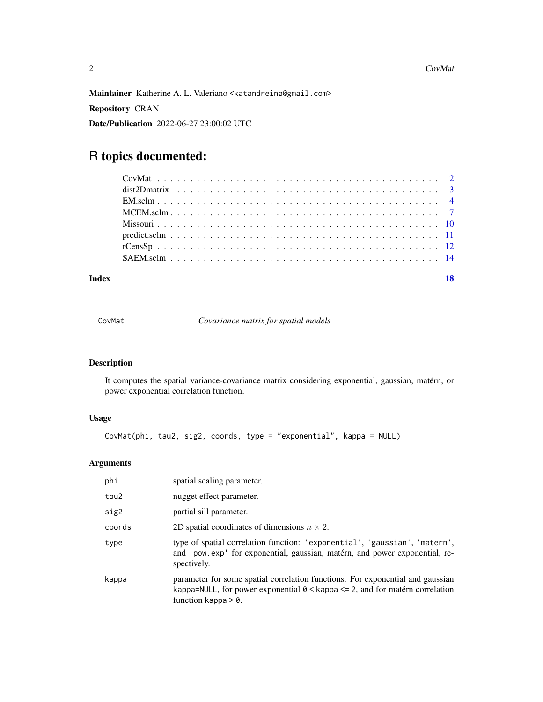<span id="page-1-0"></span>Maintainer Katherine A. L. Valeriano <katandreina@gmail.com>

Repository CRAN

Date/Publication 2022-06-27 23:00:02 UTC

## R topics documented:

| Index |  |  |  |  |  |  |  |  |  |  |  |  |  |  |  |  |  |  | 18 |
|-------|--|--|--|--|--|--|--|--|--|--|--|--|--|--|--|--|--|--|----|

<span id="page-1-1"></span>CovMat *Covariance matrix for spatial models*

#### Description

It computes the spatial variance-covariance matrix considering exponential, gaussian, matérn, or power exponential correlation function.

#### Usage

```
CovMat(phi, tau2, sig2, coords, type = "exponential", kappa = NULL)
```

| phi    | spatial scaling parameter.                                                                                                                                                                      |
|--------|-------------------------------------------------------------------------------------------------------------------------------------------------------------------------------------------------|
| tau2   | nugget effect parameter.                                                                                                                                                                        |
| sig2   | partial sill parameter.                                                                                                                                                                         |
| coords | 2D spatial coordinates of dimensions $n \times 2$ .                                                                                                                                             |
| type   | type of spatial correlation function: 'exponential', 'gaussian', 'matern',<br>and 'pow.exp' for exponential, gaussian, matérn, and power exponential, re-<br>spectively.                        |
| kappa  | parameter for some spatial correlation functions. For exponential and gaussian<br>kappa=NULL, for power exponential $\theta$ < kappa <= 2, and for matérn correlation<br>function kappa $> 0$ . |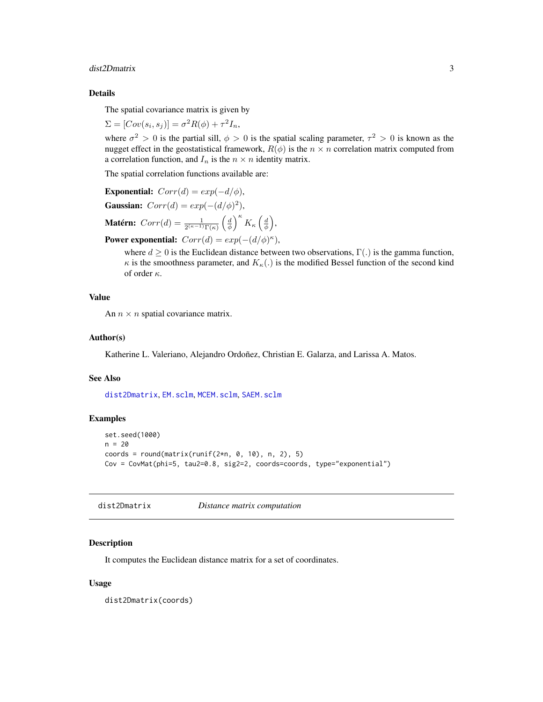#### <span id="page-2-0"></span>dist2Dmatrix 3

#### Details

The spatial covariance matrix is given by

$$
\Sigma = [Cov(s_i, s_j)] = \sigma^2 R(\phi) + \tau^2 I_n,
$$

where  $\sigma^2 > 0$  is the partial sill,  $\phi > 0$  is the spatial scaling parameter,  $\tau^2 > 0$  is known as the nugget effect in the geostatistical framework,  $R(\phi)$  is the  $n \times n$  correlation matrix computed from a correlation function, and  $I_n$  is the  $n \times n$  identity matrix.

The spatial correlation functions available are:

```
Exponential: Corr(d) = exp(-d/\phi),
Gaussian: Corr(d) = exp(-(d/\phi)^2),
Matérn: Corr(d) = \frac{1}{2^{(\kappa-1)}\Gamma(\kappa)} \left(\frac{d}{\phi}\right)^{\kappa} K_{\kappa} \left(\frac{d}{\phi}\right),
```
**Power exponential:**  $Corr(d) = exp(-(d/\phi)^{\kappa})$ ,

where  $d \geq 0$  is the Euclidean distance between two observations,  $\Gamma(.)$  is the gamma function,  $\kappa$  is the smoothness parameter, and  $K_{\kappa}(\cdot)$  is the modified Bessel function of the second kind of order κ.

#### Value

An  $n \times n$  spatial covariance matrix.

#### Author(s)

Katherine L. Valeriano, Alejandro Ordoñez, Christian E. Galarza, and Larissa A. Matos.

#### See Also

[dist2Dmatrix](#page-2-1), [EM.sclm](#page-3-1), [MCEM.sclm](#page-6-1), [SAEM.sclm](#page-13-1)

#### Examples

```
set.seed(1000)
n = 20coords = round(matrix(runif(2*n, 0, 10), n, 2), 5)
Cov = CovMat(phi=5, tau2=0.8, sig2=2, coords=coords, type="exponential")
```
<span id="page-2-1"></span>dist2Dmatrix *Distance matrix computation*

#### Description

It computes the Euclidean distance matrix for a set of coordinates.

#### Usage

dist2Dmatrix(coords)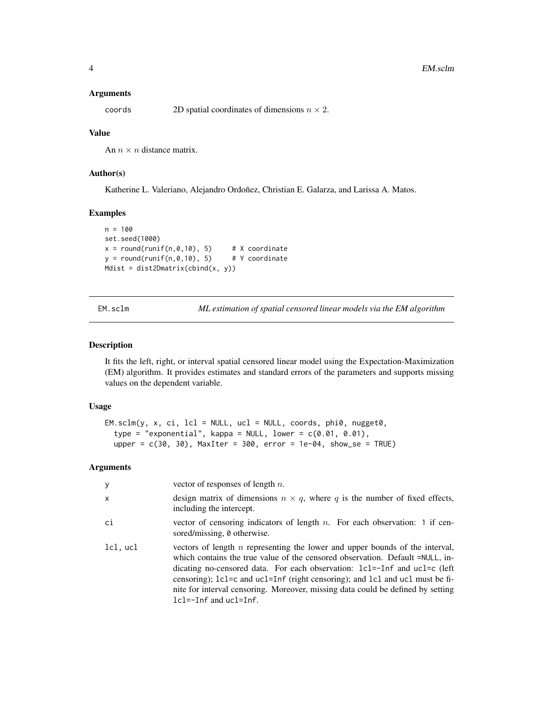#### <span id="page-3-0"></span>Arguments

coords 2D spatial coordinates of dimensions  $n \times 2$ .

#### Value

An  $n \times n$  distance matrix.

#### Author(s)

Katherine L. Valeriano, Alejandro Ordoñez, Christian E. Galarza, and Larissa A. Matos.

#### Examples

```
n = 100
set.seed(1000)
x = round(runif(n, 0, 10), 5) # X coordinate<br>y = round(runif(n, 0, 10), 5) # Y coordinate
y = round(runif(n, 0, 10), 5)Mdist = dist2Dmatrix(cbind(x, y))
```
<span id="page-3-1"></span>EM.sclm *ML estimation of spatial censored linear models via the EM algorithm*

#### Description

It fits the left, right, or interval spatial censored linear model using the Expectation-Maximization (EM) algorithm. It provides estimates and standard errors of the parameters and supports missing values on the dependent variable.

#### Usage

```
EM.sclm(y, x, ci, lcl = NULL, ucl = NULL, coords, phi0, nugget0,type = "exponential", kappa = NULL, lower = c(0.01, 0.01),
  upper = c(30, 30), MaxIter = 300, error = 1e-04, show_se = TRUE)
```

| у        | vector of responses of length $n$ .                                                                                                                                                                                                                                                                                                                                                                                                               |
|----------|---------------------------------------------------------------------------------------------------------------------------------------------------------------------------------------------------------------------------------------------------------------------------------------------------------------------------------------------------------------------------------------------------------------------------------------------------|
| x        | design matrix of dimensions $n \times q$ , where q is the number of fixed effects,<br>including the intercept.                                                                                                                                                                                                                                                                                                                                    |
| сi       | vector of censoring indicators of length $n$ . For each observation: 1 if cen-<br>sored/missing, 0 otherwise.                                                                                                                                                                                                                                                                                                                                     |
| lcl, ucl | vectors of length $n$ representing the lower and upper bounds of the interval,<br>which contains the true value of the censored observation. Default =NULL, in-<br>dicating no-censored data. For each observation: 1c1=-1nf and uc1=c (left<br>censoring); lcl=c and ucl=Inf (right censoring); and lcl and ucl must be fi-<br>nite for interval censoring. Moreover, missing data could be defined by setting<br>$lcl = -Inf$ and $ucl = Inf$ . |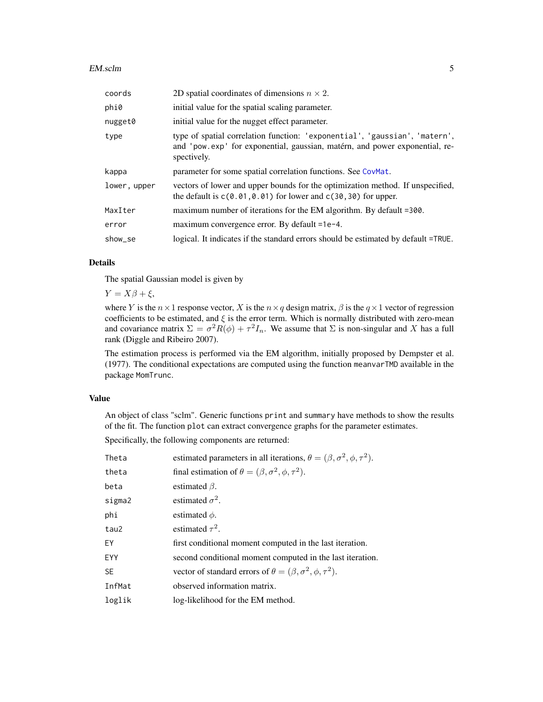#### <span id="page-4-0"></span>EM.sclm 5

| coords       | 2D spatial coordinates of dimensions $n \times 2$ .                                                                                                                      |
|--------------|--------------------------------------------------------------------------------------------------------------------------------------------------------------------------|
| phi0         | initial value for the spatial scaling parameter.                                                                                                                         |
| nugget0      | initial value for the nugget effect parameter.                                                                                                                           |
| type         | type of spatial correlation function: 'exponential', 'gaussian', 'matern',<br>and 'pow.exp' for exponential, gaussian, matérn, and power exponential, re-<br>spectively. |
| kappa        | parameter for some spatial correlation functions. See CovMat.                                                                                                            |
| lower, upper | vectors of lower and upper bounds for the optimization method. If unspecified,<br>the default is $c(0.01, 0.01)$ for lower and $c(30, 30)$ for upper.                    |
| MaxIter      | maximum number of iterations for the EM algorithm. By default =300.                                                                                                      |
| error        | maximum convergence error. By default =1e-4.                                                                                                                             |
| show_se      | logical. It indicates if the standard errors should be estimated by default =TRUE.                                                                                       |

#### Details

The spatial Gaussian model is given by

 $Y = X\beta + \xi$ ,

where Y is the  $n \times 1$  response vector, X is the  $n \times q$  design matrix,  $\beta$  is the  $q \times 1$  vector of regression coefficients to be estimated, and  $\xi$  is the error term. Which is normally distributed with zero-mean and covariance matrix  $\Sigma = \sigma^2 R(\phi) + \tau^2 I_n$ . We assume that  $\Sigma$  is non-singular and X has a full rank (Diggle and Ribeiro 2007).

The estimation process is performed via the EM algorithm, initially proposed by Dempster et al. (1977). The conditional expectations are computed using the function meanvarTMD available in the package MomTrunc.

#### Value

An object of class "sclm". Generic functions print and summary have methods to show the results of the fit. The function plot can extract convergence graphs for the parameter estimates.

Specifically, the following components are returned:

| Theta     | estimated parameters in all iterations, $\theta = (\beta, \sigma^2, \phi, \tau^2)$ . |
|-----------|--------------------------------------------------------------------------------------|
| theta     | final estimation of $\theta = (\beta, \sigma^2, \phi, \tau^2)$ .                     |
| beta      | estimated $\beta$ .                                                                  |
| sigma2    | estimated $\sigma^2$ .                                                               |
| phi       | estimated $\phi$ .                                                                   |
| tau2      | estimated $\tau^2$ .                                                                 |
| EY        | first conditional moment computed in the last iteration.                             |
| EYY       | second conditional moment computed in the last iteration.                            |
| <b>SE</b> | vector of standard errors of $\theta = (\beta, \sigma^2, \phi, \tau^2)$ .            |
| InfMat    | observed information matrix.                                                         |
| loglik    | log-likelihood for the EM method.                                                    |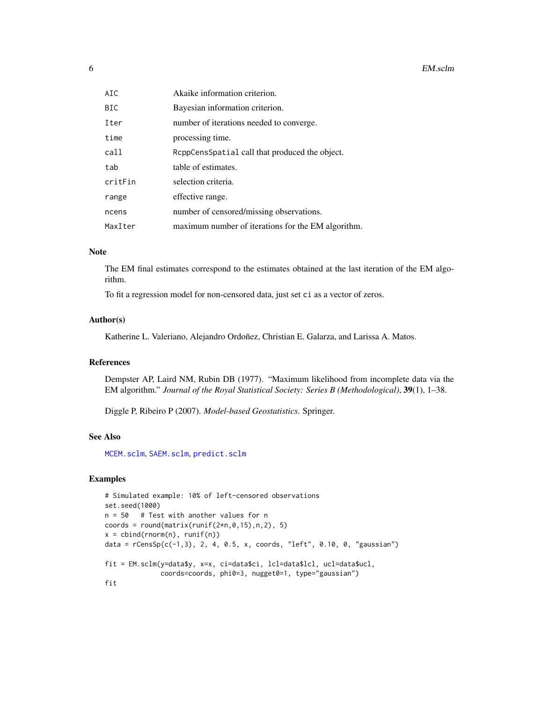<span id="page-5-0"></span>

| BIC     | Bayesian information criterion.                    |
|---------|----------------------------------------------------|
| Iter    | number of iterations needed to converge.           |
| time    | processing time.                                   |
| call    | ReppCensSpatial call that produced the object.     |
| tab     | table of estimates.                                |
| critFin | selection criteria.                                |
| range   | effective range.                                   |
| ncens   | number of censored/missing observations.           |
| MaxIter | maximum number of iterations for the EM algorithm. |

#### Note

The EM final estimates correspond to the estimates obtained at the last iteration of the EM algorithm.

To fit a regression model for non-censored data, just set ci as a vector of zeros.

#### Author(s)

Katherine L. Valeriano, Alejandro Ordoñez, Christian E. Galarza, and Larissa A. Matos.

#### References

Dempster AP, Laird NM, Rubin DB (1977). "Maximum likelihood from incomplete data via the EM algorithm." *Journal of the Royal Statistical Society: Series B (Methodological)*, 39(1), 1–38.

Diggle P, Ribeiro P (2007). *Model-based Geostatistics*. Springer.

#### See Also

[MCEM.sclm](#page-6-1), [SAEM.sclm](#page-13-1), [predict.sclm](#page-10-1)

```
# Simulated example: 10% of left-censored observations
set.seed(1000)
n = 50 # Test with another values for n
coords = round(matrix(runif(2*n, 0, 15),n,2), 5)
x = \text{cbind}(rnorm(n), runif(n))data = rCensSp(c(-1,3), 2, 4, 0.5, x, coords, "left", 0.10, 0, "gaussian")
fit = EM.sclm(y=data$y, x=x, ci=data$ci, lcl=data$lcl, ucl=data$ucl,
              coords=coords, phi0=3, nugget0=1, type="gaussian")
fit
```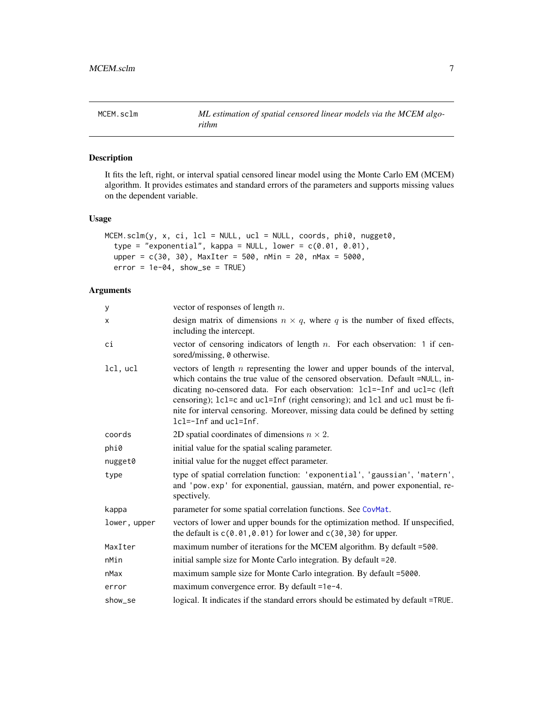<span id="page-6-1"></span><span id="page-6-0"></span>

#### Description

It fits the left, right, or interval spatial censored linear model using the Monte Carlo EM (MCEM) algorithm. It provides estimates and standard errors of the parameters and supports missing values on the dependent variable.

#### Usage

```
MCEM.sclm(y, x, ci, lcl = NULL, ucl = NULL, coords, phi0, nugget0,
  type = "exponential", kappa = NULL, lower = c(0.01, 0.01),
  upper = c(30, 30), MaxIter = 500, nMin = 20, nMax = 5000,
  error = 1e-04, show_se = TRUE)
```

| У            | vector of responses of length $n$ .                                                                                                                                                                                                                                                                                                                                                                                                               |
|--------------|---------------------------------------------------------------------------------------------------------------------------------------------------------------------------------------------------------------------------------------------------------------------------------------------------------------------------------------------------------------------------------------------------------------------------------------------------|
| x            | design matrix of dimensions $n \times q$ , where q is the number of fixed effects,<br>including the intercept.                                                                                                                                                                                                                                                                                                                                    |
| сi           | vector of censoring indicators of length $n$ . For each observation: 1 if cen-<br>sored/missing, 0 otherwise.                                                                                                                                                                                                                                                                                                                                     |
| lcl, ucl     | vectors of length $n$ representing the lower and upper bounds of the interval,<br>which contains the true value of the censored observation. Default =NULL, in-<br>dicating no-censored data. For each observation: lcl=-Inf and ucl=c (left<br>censoring); 1c1=c and uc1=Inf (right censoring); and 1c1 and uc1 must be fi-<br>nite for interval censoring. Moreover, missing data could be defined by setting<br>$lcl = -Inf$ and $ucl = Inf$ . |
| coords       | 2D spatial coordinates of dimensions $n \times 2$ .                                                                                                                                                                                                                                                                                                                                                                                               |
| phi0         | initial value for the spatial scaling parameter.                                                                                                                                                                                                                                                                                                                                                                                                  |
| nugget0      | initial value for the nugget effect parameter.                                                                                                                                                                                                                                                                                                                                                                                                    |
| type         | type of spatial correlation function: 'exponential', 'gaussian', 'matern',<br>and 'pow.exp' for exponential, gaussian, matérn, and power exponential, re-<br>spectively.                                                                                                                                                                                                                                                                          |
| kappa        | parameter for some spatial correlation functions. See CovMat.                                                                                                                                                                                                                                                                                                                                                                                     |
| lower, upper | vectors of lower and upper bounds for the optimization method. If unspecified,<br>the default is $c(0.01, 0.01)$ for lower and $c(30, 30)$ for upper.                                                                                                                                                                                                                                                                                             |
| MaxIter      | maximum number of iterations for the MCEM algorithm. By default =500.                                                                                                                                                                                                                                                                                                                                                                             |
| nMin         | initial sample size for Monte Carlo integration. By default =20.                                                                                                                                                                                                                                                                                                                                                                                  |
| nMax         | maximum sample size for Monte Carlo integration. By default =5000.                                                                                                                                                                                                                                                                                                                                                                                |
| error        | maximum convergence error. By default =1e-4.                                                                                                                                                                                                                                                                                                                                                                                                      |
| show_se      | logical. It indicates if the standard errors should be estimated by default =TRUE.                                                                                                                                                                                                                                                                                                                                                                |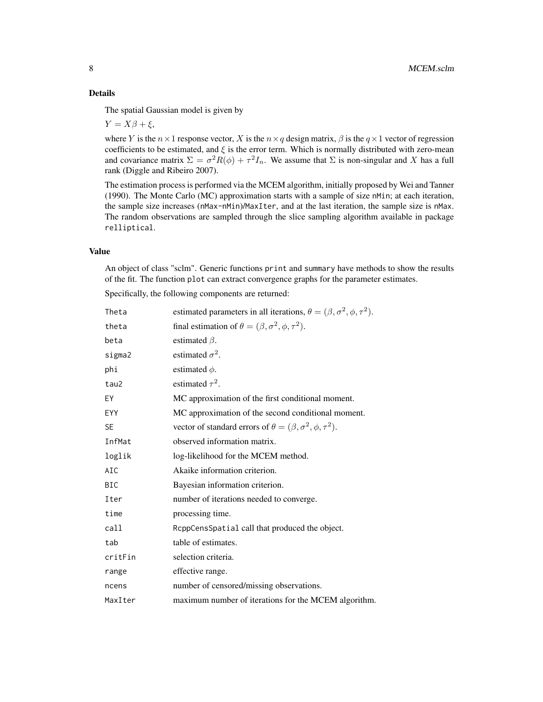#### Details

The spatial Gaussian model is given by

 $Y = X\beta + \xi$ ,

where Y is the  $n \times 1$  response vector, X is the  $n \times q$  design matrix,  $\beta$  is the  $q \times 1$  vector of regression coefficients to be estimated, and  $\xi$  is the error term. Which is normally distributed with zero-mean and covariance matrix  $\Sigma = \sigma^2 R(\phi) + \tau^2 I_n$ . We assume that  $\Sigma$  is non-singular and X has a full rank (Diggle and Ribeiro 2007).

The estimation process is performed via the MCEM algorithm, initially proposed by Wei and Tanner (1990). The Monte Carlo (MC) approximation starts with a sample of size nMin; at each iteration, the sample size increases (nMax-nMin)/MaxIter, and at the last iteration, the sample size is nMax. The random observations are sampled through the slice sampling algorithm available in package relliptical.

#### Value

An object of class "sclm". Generic functions print and summary have methods to show the results of the fit. The function plot can extract convergence graphs for the parameter estimates.

Specifically, the following components are returned:

| Theta      | estimated parameters in all iterations, $\theta = (\beta, \sigma^2, \phi, \tau^2)$ . |
|------------|--------------------------------------------------------------------------------------|
| theta      | final estimation of $\theta = (\beta, \sigma^2, \phi, \tau^2)$ .                     |
| beta       | estimated $\beta$ .                                                                  |
| sigma2     | estimated $\sigma^2$ .                                                               |
| phi        | estimated $\phi$ .                                                                   |
| tau2       | estimated $\tau^2$ .                                                                 |
| EY         | MC approximation of the first conditional moment.                                    |
| <b>EYY</b> | MC approximation of the second conditional moment.                                   |
| <b>SE</b>  | vector of standard errors of $\theta = (\beta, \sigma^2, \phi, \tau^2)$ .            |
| InfMat     | observed information matrix.                                                         |
| loglik     | log-likelihood for the MCEM method.                                                  |
| AIC        | Akaike information criterion.                                                        |
| <b>BIC</b> | Bayesian information criterion.                                                      |
| Iter       | number of iterations needed to converge.                                             |
| time       | processing time.                                                                     |
| call       | ReppCensSpatial call that produced the object.                                       |
| tab        | table of estimates.                                                                  |
| critFin    | selection criteria.                                                                  |
| range      | effective range.                                                                     |
| ncens      | number of censored/missing observations.                                             |
| MaxIter    | maximum number of iterations for the MCEM algorithm.                                 |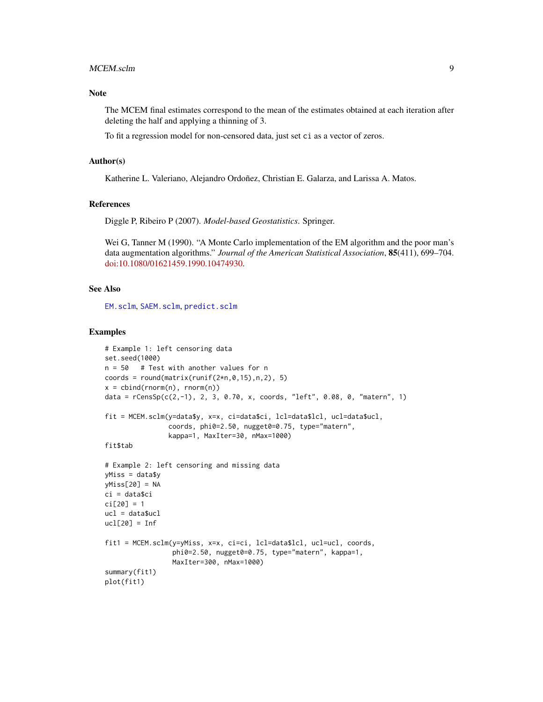#### <span id="page-8-0"></span>MCEM.sclm 9

#### Note

The MCEM final estimates correspond to the mean of the estimates obtained at each iteration after deleting the half and applying a thinning of 3.

To fit a regression model for non-censored data, just set ci as a vector of zeros.

#### Author(s)

Katherine L. Valeriano, Alejandro Ordoñez, Christian E. Galarza, and Larissa A. Matos.

#### References

Diggle P, Ribeiro P (2007). *Model-based Geostatistics*. Springer.

Wei G, Tanner M (1990). "A Monte Carlo implementation of the EM algorithm and the poor man's data augmentation algorithms." *Journal of the American Statistical Association*, 85(411), 699–704. [doi:10.1080/01621459.1990.10474930.](https://doi.org/10.1080/01621459.1990.10474930)

#### See Also

[EM.sclm](#page-3-1), [SAEM.sclm](#page-13-1), [predict.sclm](#page-10-1)

```
# Example 1: left censoring data
set.seed(1000)
n = 50 # Test with another values for n
coords = round(matrix(runif(2*n, 0, 15),n,2), 5)
x = \text{cbind}(\text{norm}(n), \text{norm}(n))data = rCensSp(c(2,-1), 2, 3, 0.70, x, coords, "left", 0.08, 0, "matern", 1)
fit = MCEM.sclm(y=data$y, x=x, ci=data$ci, lcl=data$lcl, ucl=data$ucl,
                coords, phi0=2.50, nugget0=0.75, type="matern",
                kappa=1, MaxIter=30, nMax=1000)
fit$tab
# Example 2: left censoring and missing data
yMiss = data$y
yMiss[20] = NA
ci = data$ci
ci[20] = 1ucl = data$ucl
ucl[20] = Inffit1 = MCEM.sclm(y=yMiss, x=x, ci=ci, lcl=data$lcl, ucl=ucl, coords,
                 phi0=2.50, nugget0=0.75, type="matern", kappa=1,
                 MaxIter=300, nMax=1000)
summary(fit1)
plot(fit1)
```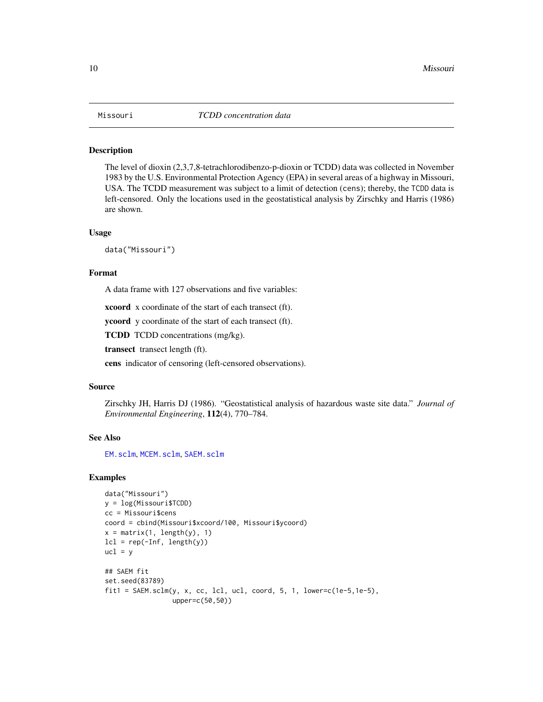#### <span id="page-9-0"></span>Description

The level of dioxin (2,3,7,8-tetrachlorodibenzo-p-dioxin or TCDD) data was collected in November 1983 by the U.S. Environmental Protection Agency (EPA) in several areas of a highway in Missouri, USA. The TCDD measurement was subject to a limit of detection (cens); thereby, the TCDD data is left-censored. Only the locations used in the geostatistical analysis by Zirschky and Harris (1986) are shown.

#### Usage

data("Missouri")

#### Format

A data frame with 127 observations and five variables:

xcoord x coordinate of the start of each transect (ft).

ycoord y coordinate of the start of each transect (ft).

TCDD TCDD concentrations (mg/kg).

transect transect length (ft).

cens indicator of censoring (left-censored observations).

#### Source

Zirschky JH, Harris DJ (1986). "Geostatistical analysis of hazardous waste site data." *Journal of Environmental Engineering*, 112(4), 770–784.

#### See Also

[EM.sclm](#page-3-1), [MCEM.sclm](#page-6-1), [SAEM.sclm](#page-13-1)

```
data("Missouri")
y = log(Missouri$TCDD)
cc = Missouri$cens
coord = cbind(Missouri$xcoord/100, Missouri$ycoord)
x = matrix(1, length(y), 1)lcl = rep(-Inf, length(y))ucl = y## SAEM fit
set.seed(83789)
fit1 = SAEM.sclm(y, x, cc, lcl, ucl, coord, 5, 1, lower=c(1e-5, 1e-5),upper=c(50,50))
```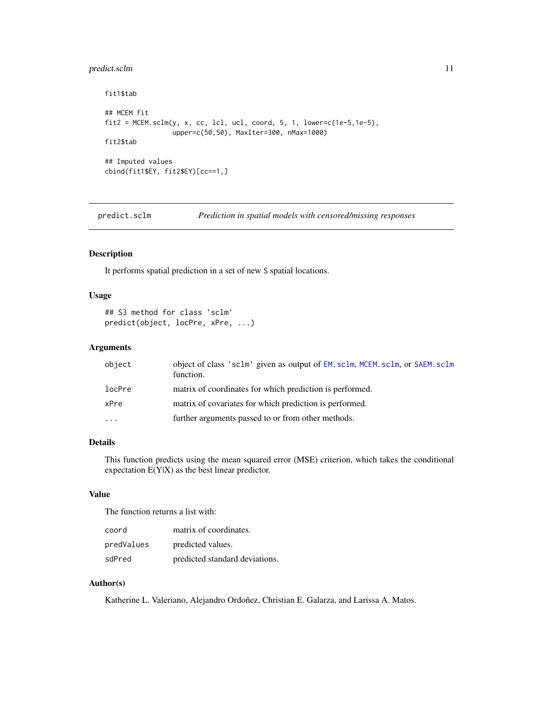#### <span id="page-10-0"></span>predict.sclm 11

```
fit1$tab
## MCEM fit
fit2 = MCEM.sclm(y, x, cc, lcl, ucl, coord, 5, 1, lower=c(1e-5, 1e-5),upper=c(50,50), MaxIter=300, nMax=1000)
fit2$tab
## Imputed values
cbind(fit1$EY, fit2$EY)[cc==1,]
```
<span id="page-10-1"></span>predict.sclm *Prediction in spatial models with censored/missing responses*

#### Description

It performs spatial prediction in a set of new S spatial locations.

#### Usage

```
## S3 method for class 'sclm'
predict(object, locPre, xPre, ...)
```
#### Arguments

| object                  | object of class 'sclm' given as output of EM. sclm, MCEM. sclm, or SAEM. sclm<br>function. |
|-------------------------|--------------------------------------------------------------------------------------------|
| locPre                  | matrix of coordinates for which prediction is performed.                                   |
| xPre                    | matrix of covariates for which prediction is performed.                                    |
| $\cdot$ $\cdot$ $\cdot$ | further arguments passed to or from other methods.                                         |

#### Details

This function predicts using the mean squared error (MSE) criterion, which takes the conditional expectation E(Y|X) as the best linear predictor.

#### Value

The function returns a list with:

| coord      | matrix of coordinates.         |
|------------|--------------------------------|
| predValues | predicted values.              |
| sdPred     | predicted standard deviations. |

#### Author(s)

Katherine L. Valeriano, Alejandro Ordoñez, Christian E. Galarza, and Larissa A. Matos.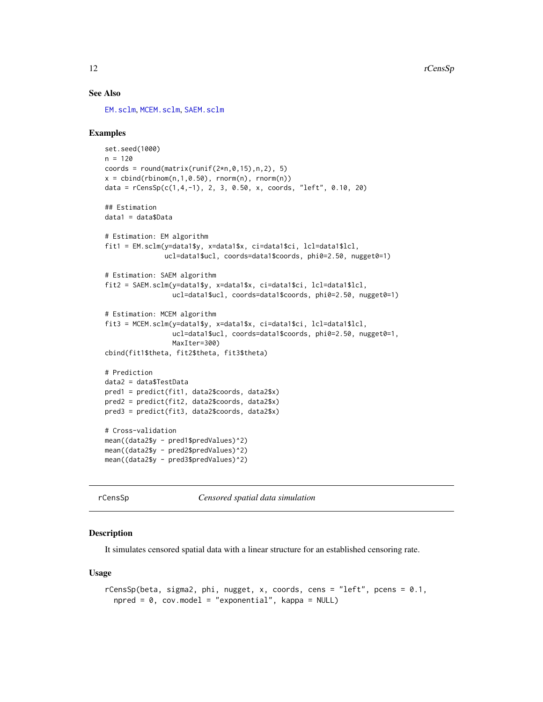#### See Also

[EM.sclm](#page-3-1), [MCEM.sclm](#page-6-1), [SAEM.sclm](#page-13-1)

#### Examples

```
set.seed(1000)
n = 120coords = round(matrix(runif(2*n, 0, 15), n, 2), 5)
x = \text{cbind}(\text{rbinom}(n, 1, 0.50), \text{rnorm}(n), \text{rnorm}(n))data = rCensSp(c(1,4,-1), 2, 3, 0.50, x, coords, "left", 0.10, 20)## Estimation
data1 = data$Data
# Estimation: EM algorithm
fit1 = EM.sclm(y=data1$y, x=data1$x, ci=data1$ci, lcl=data1$lcl,
               ucl=data1$ucl, coords=data1$coords, phi0=2.50, nugget0=1)
# Estimation: SAEM algorithm
fit2 = SAEM.sclm(y=data1$y, x=data1$x, ci=data1$ci, lcl=data1$lcl,
                 ucl=data1$ucl, coords=data1$coords, phi0=2.50, nugget0=1)
# Estimation: MCEM algorithm
fit3 = MCEM.sclm(y=data1$y, x=data1$x, ci=data1$ci, lcl=data1$lcl,
                 ucl=data1$ucl, coords=data1$coords, phi0=2.50, nugget0=1,
                 MaxIter=300)
cbind(fit1$theta, fit2$theta, fit3$theta)
# Prediction
data2 = data$TestData
pred1 = predict(fit1, data2$coords, data2$x)
pred2 = predict(fit2, data2$coords, data2$x)
pred3 = predict(fit3, data2$coords, data2$x)
# Cross-validation
mean((data2$y - pred1$predValues)^2)
mean((data2$y - pred2$predValues)^2)
mean((data2$y - pred3$predValues)^2)
```
rCensSp *Censored spatial data simulation*

#### **Description**

It simulates censored spatial data with a linear structure for an established censoring rate.

#### Usage

```
rCensSp(beta, sigma2, phi, nugget, x, coords, cens = "left", pcens = 0.1,
 npred = 0, cov.model = "exponential", kappa = NULL)
```
<span id="page-11-0"></span>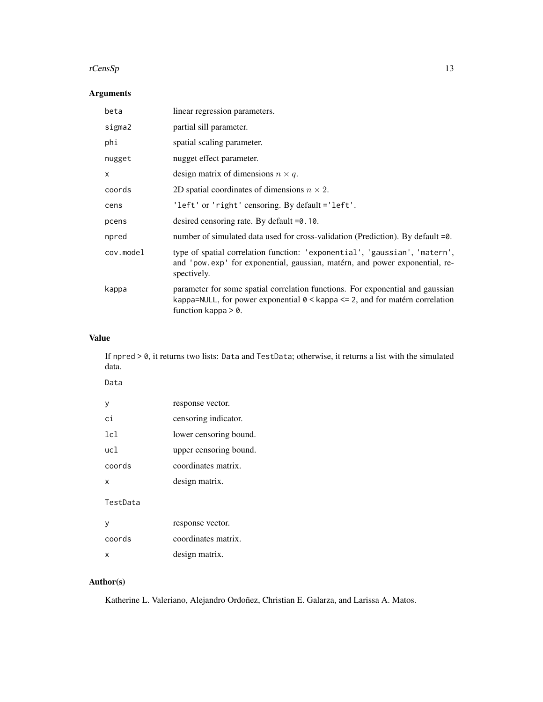#### $rCensSp$  13

### Arguments

| beta      | linear regression parameters.                                                                                                                                                                      |
|-----------|----------------------------------------------------------------------------------------------------------------------------------------------------------------------------------------------------|
| sigma2    | partial sill parameter.                                                                                                                                                                            |
| phi       | spatial scaling parameter.                                                                                                                                                                         |
| nugget    | nugget effect parameter.                                                                                                                                                                           |
| x         | design matrix of dimensions $n \times q$ .                                                                                                                                                         |
| coords    | 2D spatial coordinates of dimensions $n \times 2$ .                                                                                                                                                |
| cens      | 'left' or 'right' censoring. By default = 'left'.                                                                                                                                                  |
| pcens     | desired censoring rate. By default $=0.10$ .                                                                                                                                                       |
| npred     | number of simulated data used for cross-validation (Prediction). By default $=0$ .                                                                                                                 |
| cov.model | type of spatial correlation function: 'exponential', 'gaussian', 'matern',<br>and 'pow.exp' for exponential, gaussian, matérn, and power exponential, re-<br>spectively.                           |
| kappa     | parameter for some spatial correlation functions. For exponential and gaussian<br>kappa=NULL, for power exponential $0 \leq k$ appa $\leq$ 2, and for matérn correlation<br>function kappa $> 0$ . |

#### Value

If npred > 0, it returns two lists: Data and TestData; otherwise, it returns a list with the simulated data.

| Data     |                        |
|----------|------------------------|
| у        | response vector.       |
| сi       | censoring indicator.   |
| 1c1      | lower censoring bound. |
| ucl      | upper censoring bound. |
| coords   | coordinates matrix.    |
| x        | design matrix.         |
| TestData |                        |
| y        | response vector.       |
| coords   | coordinates matrix.    |
| x        | design matrix.         |
|          |                        |

## Author(s)

Katherine L. Valeriano, Alejandro Ordoñez, Christian E. Galarza, and Larissa A. Matos.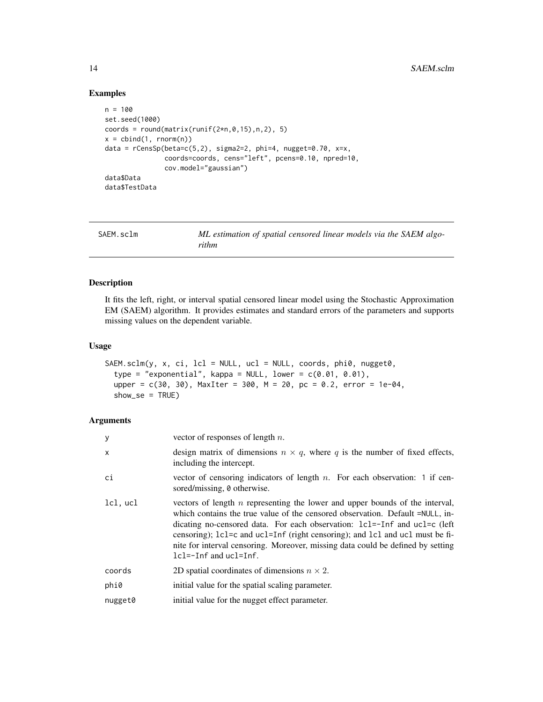#### Examples

```
n = 100
set.seed(1000)
coords = round(matrix(runif(2*n, 0, 15),n,2), 5)
x = \text{cbind}(1, \text{rnorm}(n))data = rCensSp(beta=c(5,2), sigma2=2, phi=4, nugget=0.70, x=x,coords=coords, cens="left", pcens=0.10, npred=10,
                cov.model="gaussian")
data$Data
data$TestData
```
<span id="page-13-1"></span>

| SAEM.sclm | ML estimation of spatial censored linear models via the SAEM algo- |
|-----------|--------------------------------------------------------------------|
|           | rithm                                                              |

#### Description

It fits the left, right, or interval spatial censored linear model using the Stochastic Approximation EM (SAEM) algorithm. It provides estimates and standard errors of the parameters and supports missing values on the dependent variable.

#### Usage

```
SAEM.sclm(y, x, ci, lcl = NULL, ucl = NULL, coords, phi0, nugget0,
  type = "exponential", kappa = NULL, lower = c(0.01, 0.01),
  upper = c(30, 30), MaxIter = 300, M = 20, pc = 0.2, error = 1e-04,
  show\_se = TRUE)
```

| у        | vector of responses of length $n$ .                                                                                                                                                                                                                                                                                                                                                                                                           |
|----------|-----------------------------------------------------------------------------------------------------------------------------------------------------------------------------------------------------------------------------------------------------------------------------------------------------------------------------------------------------------------------------------------------------------------------------------------------|
| X        | design matrix of dimensions $n \times q$ , where q is the number of fixed effects,<br>including the intercept.                                                                                                                                                                                                                                                                                                                                |
| ci       | vector of censoring indicators of length $n$ . For each observation: 1 if cen-<br>sored/missing, 0 otherwise.                                                                                                                                                                                                                                                                                                                                 |
| lcl, ucl | vectors of length $n$ representing the lower and upper bounds of the interval,<br>which contains the true value of the censored observation. Default =NULL, in-<br>dicating no-censored data. For each observation: 1c1=-1nf and uc1=c (left<br>censoring); 1c1=c and uc1=Inf (right censoring); and 1c1 and uc1 must be fi-<br>nite for interval censoring. Moreover, missing data could be defined by setting<br>$lcl=-Inf$ and $ucl=Inf$ . |
| coords   | 2D spatial coordinates of dimensions $n \times 2$ .                                                                                                                                                                                                                                                                                                                                                                                           |
| phi0     | initial value for the spatial scaling parameter.                                                                                                                                                                                                                                                                                                                                                                                              |
| nugget0  | initial value for the nugget effect parameter.                                                                                                                                                                                                                                                                                                                                                                                                |

<span id="page-13-0"></span>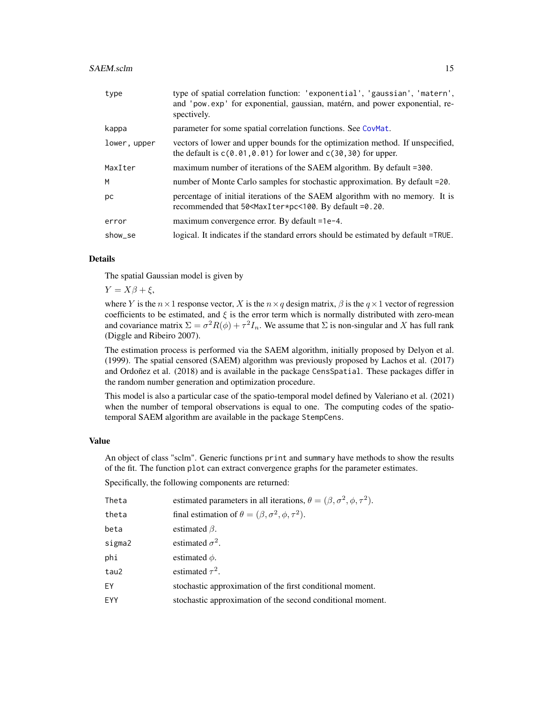#### <span id="page-14-0"></span>SAEM.sclm 15

| type         | type of spatial correlation function: 'exponential', 'gaussian', 'matern',<br>and 'pow.exp' for exponential, gaussian, matérn, and power exponential, re-<br>spectively. |
|--------------|--------------------------------------------------------------------------------------------------------------------------------------------------------------------------|
| kappa        | parameter for some spatial correlation functions. See CovMat.                                                                                                            |
| lower, upper | vectors of lower and upper bounds for the optimization method. If unspecified,<br>the default is $c(0.01, 0.01)$ for lower and $c(30, 30)$ for upper.                    |
| MaxIter      | maximum number of iterations of the SAEM algorithm. By default =300.                                                                                                     |
| M            | number of Monte Carlo samples for stochastic approximation. By default =20.                                                                                              |
| рc           | percentage of initial iterations of the SAEM algorithm with no memory. It is<br>recommended that 50 <maxiter*pc<100. by="" default="0.20.&lt;/td"></maxiter*pc<100.>     |
| error        | maximum convergence error. By default =1e-4.                                                                                                                             |
| show_se      | logical. It indicates if the standard errors should be estimated by default =TRUE.                                                                                       |

#### Details

The spatial Gaussian model is given by

 $Y = X\beta + \xi$ ,

where Y is the  $n \times 1$  response vector, X is the  $n \times q$  design matrix,  $\beta$  is the  $q \times 1$  vector of regression coefficients to be estimated, and  $\xi$  is the error term which is normally distributed with zero-mean and covariance matrix  $\Sigma = \sigma^2 R(\phi) + \tau^2 I_n$ . We assume that  $\Sigma$  is non-singular and X has full rank (Diggle and Ribeiro 2007).

The estimation process is performed via the SAEM algorithm, initially proposed by Delyon et al. (1999). The spatial censored (SAEM) algorithm was previously proposed by Lachos et al. (2017) and Ordoñez et al. (2018) and is available in the package CensSpatial. These packages differ in the random number generation and optimization procedure.

This model is also a particular case of the spatio-temporal model defined by Valeriano et al. (2021) when the number of temporal observations is equal to one. The computing codes of the spatiotemporal SAEM algorithm are available in the package StempCens.

#### Value

An object of class "sclm". Generic functions print and summary have methods to show the results of the fit. The function plot can extract convergence graphs for the parameter estimates.

Specifically, the following components are returned:

| Theta  | estimated parameters in all iterations, $\theta = (\beta, \sigma^2, \phi, \tau^2)$ . |
|--------|--------------------------------------------------------------------------------------|
| theta  | final estimation of $\theta = (\beta, \sigma^2, \phi, \tau^2)$ .                     |
| beta   | estimated $\beta$ .                                                                  |
| sigma2 | estimated $\sigma^2$ .                                                               |
| phi    | estimated $\phi$ .                                                                   |
| tau2   | estimated $\tau^2$ .                                                                 |
| FY     | stochastic approximation of the first conditional moment.                            |
| EYY    | stochastic approximation of the second conditional moment.                           |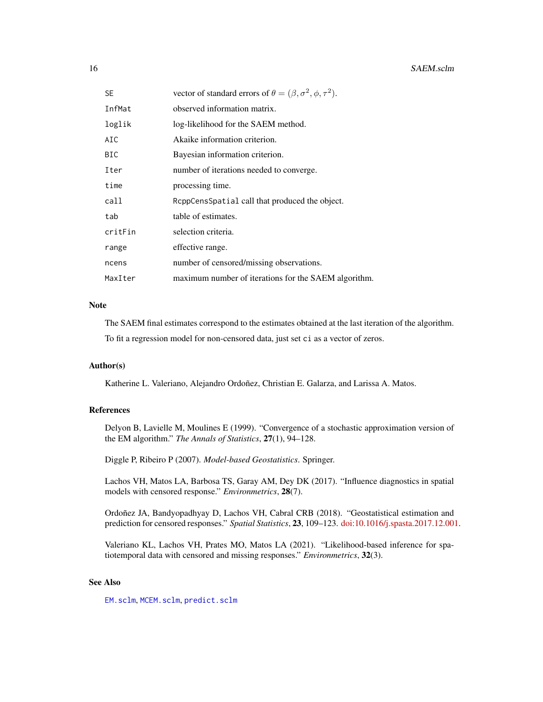<span id="page-15-0"></span>

| SE.     | vector of standard errors of $\theta = (\beta, \sigma^2, \phi, \tau^2)$ . |
|---------|---------------------------------------------------------------------------|
| InfMat  | observed information matrix.                                              |
| loglik  | log-likelihood for the SAEM method.                                       |
| AIC     | Akaike information criterion.                                             |
| BIC     | Bayesian information criterion.                                           |
| Iter    | number of iterations needed to converge.                                  |
| time    | processing time.                                                          |
| call    | ReppCensSpatial call that produced the object.                            |
| tab     | table of estimates.                                                       |
| critFin | selection criteria.                                                       |
| range   | effective range.                                                          |
| ncens   | number of censored/missing observations.                                  |
| MaxIter | maximum number of iterations for the SAEM algorithm.                      |

#### Note

The SAEM final estimates correspond to the estimates obtained at the last iteration of the algorithm.

To fit a regression model for non-censored data, just set ci as a vector of zeros.

#### Author(s)

Katherine L. Valeriano, Alejandro Ordoñez, Christian E. Galarza, and Larissa A. Matos.

#### References

Delyon B, Lavielle M, Moulines E (1999). "Convergence of a stochastic approximation version of the EM algorithm." *The Annals of Statistics*, 27(1), 94–128.

Diggle P, Ribeiro P (2007). *Model-based Geostatistics*. Springer.

Lachos VH, Matos LA, Barbosa TS, Garay AM, Dey DK (2017). "Influence diagnostics in spatial models with censored response." *Environmetrics*, 28(7).

Ordoñez JA, Bandyopadhyay D, Lachos VH, Cabral CRB (2018). "Geostatistical estimation and prediction for censored responses." *Spatial Statistics*, 23, 109–123. [doi:10.1016/j.spasta.2017.12.001.](https://doi.org/10.1016/j.spasta.2017.12.001)

Valeriano KL, Lachos VH, Prates MO, Matos LA (2021). "Likelihood-based inference for spatiotemporal data with censored and missing responses." *Environmetrics*, 32(3).

#### See Also

[EM.sclm](#page-3-1), [MCEM.sclm](#page-6-1), [predict.sclm](#page-10-1)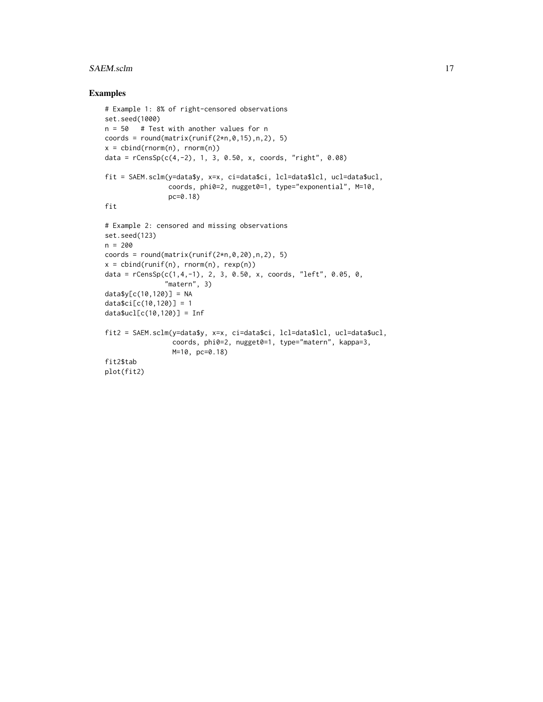#### SAEM.sclm 17

```
# Example 1: 8% of right-censored observations
set.seed(1000)
n = 50 # Test with another values for n
coords = round(matrix(runif(2*n, 0, 15),n,2), 5)
x = \text{cbind}(rnorm(n), rnorm(n))data = rCensSp(c(4, -2), 1, 3, 0.50, x, coords, "right", 0.08)
fit = SAEM.sclm(y=data$y, x=x, ci=data$ci, lcl=data$lcl, ucl=data$ucl,
                 coords, phi0=2, nugget0=1, type="exponential", M=10,
                 pc=0.18)
fit
# Example 2: censored and missing observations
set.seed(123)
n = 200
coords = round(matrix(runif(2*n, 0, 20),n,2), 5)
x = \text{cbind}(\text{runif}(n), \text{rnorm}(n), \text{rexp}(n))data = rCensSp(c(1,4,-1), 2, 3, 0.50, x, coords, "left", 0.05, 0,"matern", 3)
data$y[c(10,120)] = NA
data$ci[c(10,120)] = 1
data$ucl[c(10,120)] = Inf
fit2 = SAEM.sclm(y=data$y, x=x, ci=data$ci, lcl=data$lcl, ucl=data$ucl,
                  coords, phi0=2, nugget0=1, type="matern", kappa=3,
                  M=10, pc=0.18)
fit2$tab
plot(fit2)
```